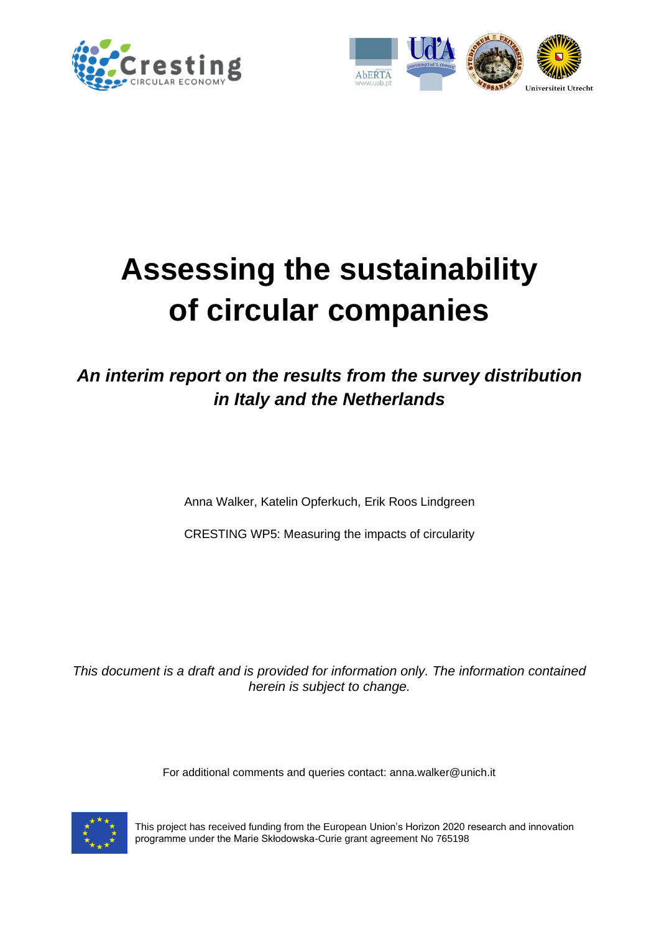



# **Assessing the sustainability of circular companies**

### *An interim report on the results from the survey distribution in Italy and the Netherlands*

Anna Walker, Katelin Opferkuch, Erik Roos Lindgreen

CRESTING WP5: Measuring the impacts of circularity

*This document is a draft and is provided for information only. The information contained herein is subject to change.*

For additional comments and queries contact: anna.walker@unich.it



This project has received funding from the European Union's Horizon 2020 research and innovation programme under the Marie Skłodowska-Curie grant agreement No 765198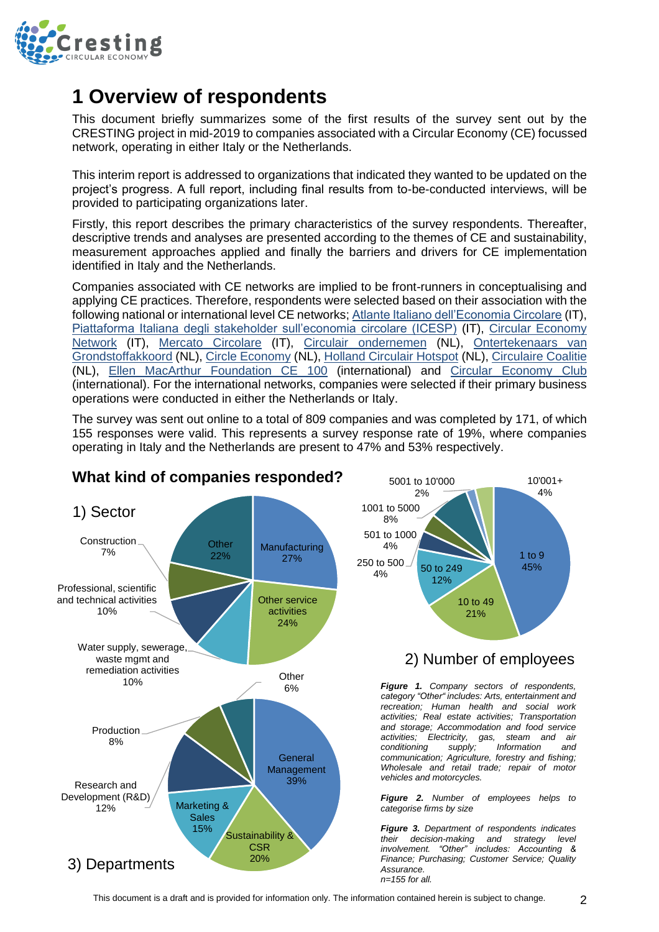

### **1 Overview of respondents**

This document briefly summarizes some of the first results of the survey sent out by the CRESTING project in mid-2019 to companies associated with a Circular Economy (CE) focussed network, operating in either Italy or the Netherlands.

This interim report is addressed to organizations that indicated they wanted to be updated on the project's progress. A full report, including final results from to-be-conducted interviews, will be provided to participating organizations later.

Firstly, this report describes the primary characteristics of the survey respondents. Thereafter, descriptive trends and analyses are presented according to the themes of CE and sustainability, measurement approaches applied and finally the barriers and drivers for CE implementation identified in Italy and the Netherlands.

Companies associated with CE networks are implied to be front-runners in conceptualising and applying CE practices. Therefore, respondents were selected based on their association with the following national or international level CE networks; [Atlante Italiano dell'Economia Circolare](http://www.economiacircolare.com/latlante/) (IT), [Piattaforma Italiana degli stakeholder sull'economia circolare \(ICESP\)](https://www.icesp.it/) (IT), Circular Economy [Network](https://circulareconomynetwork.it/network-economia-circolare/) (IT), [Mercato Circolare](https://www.mercatocircolare.it/) (IT), Circulair [ondernemen](https://www.circulairondernemen.nl/about-us) (NL), [Ontertekenaars van](https://circulaireeconomienederland.nl/ondertekenaars/)  [Grondstoffakkoord](https://circulaireeconomienederland.nl/ondertekenaars/) (NL), [Circle Economy](https://www.circle-economy.com/membership/our-members) (NL), [Holland Circulair Hotspot](https://hollandcircularhotspot.nl/en/cases/) (NL), [Circulaire Coalitie](https://www.circulairecoalitie.nl/) (NL), [Ellen MacArthur Foundation CE 100](https://www.ellenmacarthurfoundation.org/our-work/activities/ce100/members) (international) and [Circular Economy Club](https://www.circulareconomyclub.com/) (international). For the international networks, companies were selected if their primary business operations were conducted in either the Netherlands or Italy.

The survey was sent out online to a total of 809 companies and was completed by 171, of which 155 responses were valid. This represents a survey response rate of 19%, where companies operating in Italy and the Netherlands are present to 47% and 53% respectively.



#### **What kind of companies responded?**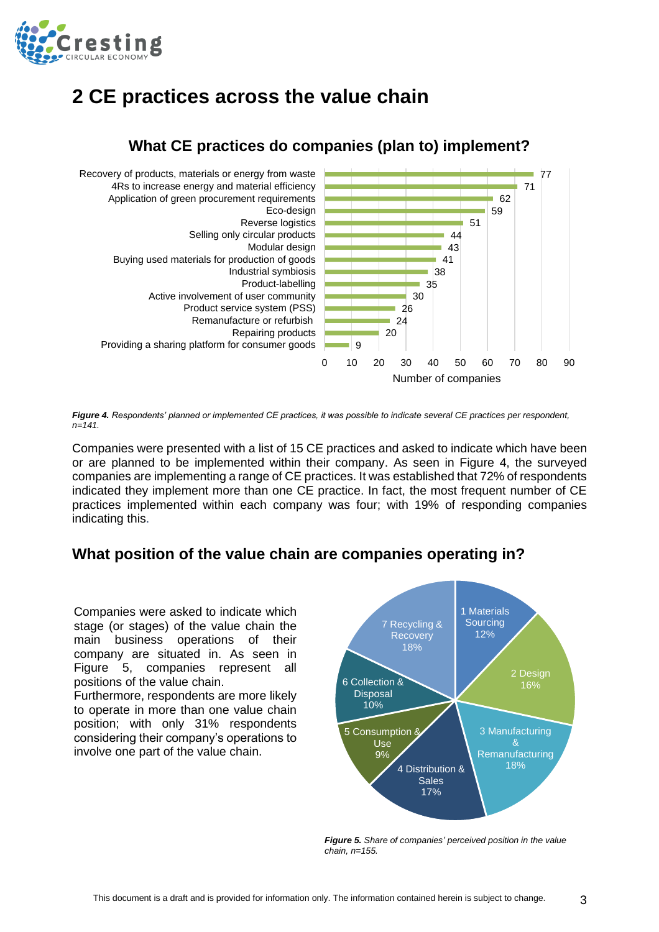

### **2 CE practices across the value chain**



#### **What CE practices do companies (plan to) implement?**

*Figure 4. Respondents' planned or implemented CE practices, it was possible to indicate several CE practices per respondent, n=141.*

Companies were presented with a list of 15 CE practices and asked to indicate which have been or are planned to be implemented within their company. As seen in Figure 4, the surveyed companies are implementing a range of CE practices. It was established that 72% of respondents indicated they implement more than one CE practice. In fact, the most frequent number of CE practices implemented within each company was four; with 19% of responding companies indicating this.

#### **What position of the value chain are companies operating in?**

Companies were asked to indicate which stage (or stages) of the value chain the main business operations of their company are situated in. As seen in Figure 5, companies represent all positions of the value chain.

Furthermore, respondents are more likely to operate in more than one value chain position; with only 31% respondents considering their company's operations to involve one part of the value chain.



*Figure 5. Share of companies' perceived position in the value chain, n=155.*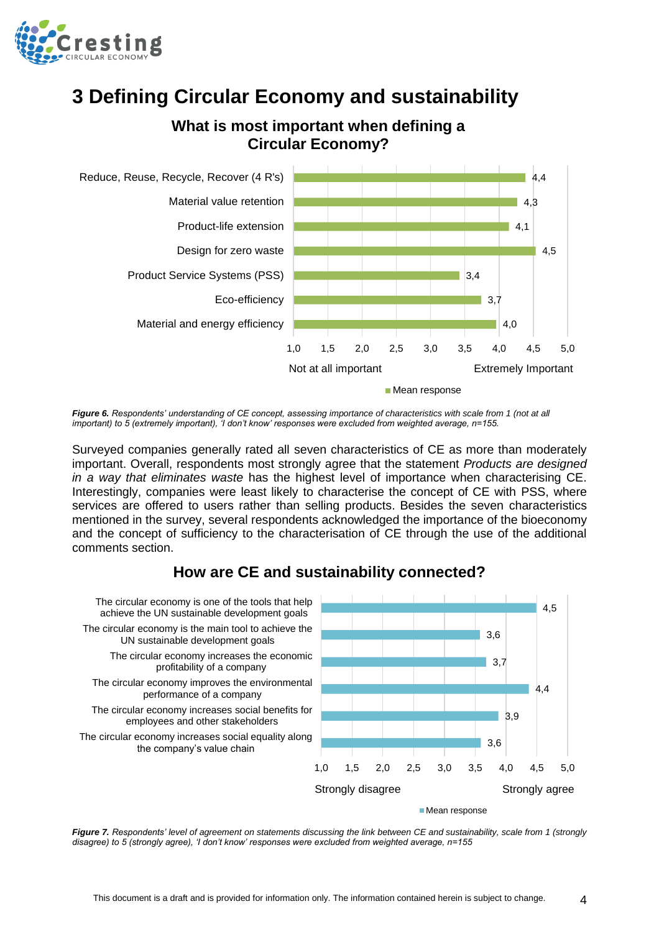

### **3 Defining Circular Economy and sustainability**





*Figure 6. Respondents' understanding of CE concept, assessing importance of characteristics with scale from 1 (not at all important) to 5 (extremely important), 'I don't know' responses were excluded from weighted average, n=155.*

Surveyed companies generally rated all seven characteristics of CE as more than moderately important. Overall, respondents most strongly agree that the statement *Products are designed in a way that eliminates waste* has the highest level of importance when characterising CE. Interestingly, companies were least likely to characterise the concept of CE with PSS, where services are offered to users rather than selling products. Besides the seven characteristics mentioned in the survey, several respondents acknowledged the importance of the bioeconomy and the concept of sufficiency to the characterisation of CE through the use of the additional comments section.



#### **How are CE and sustainability connected?**

*Figure 7. Respondents' level of agreement on statements discussing the link between CE and sustainability, scale from 1 (strongly disagree) to 5 (strongly agree), 'I don't know' responses were excluded from weighted average, n=155*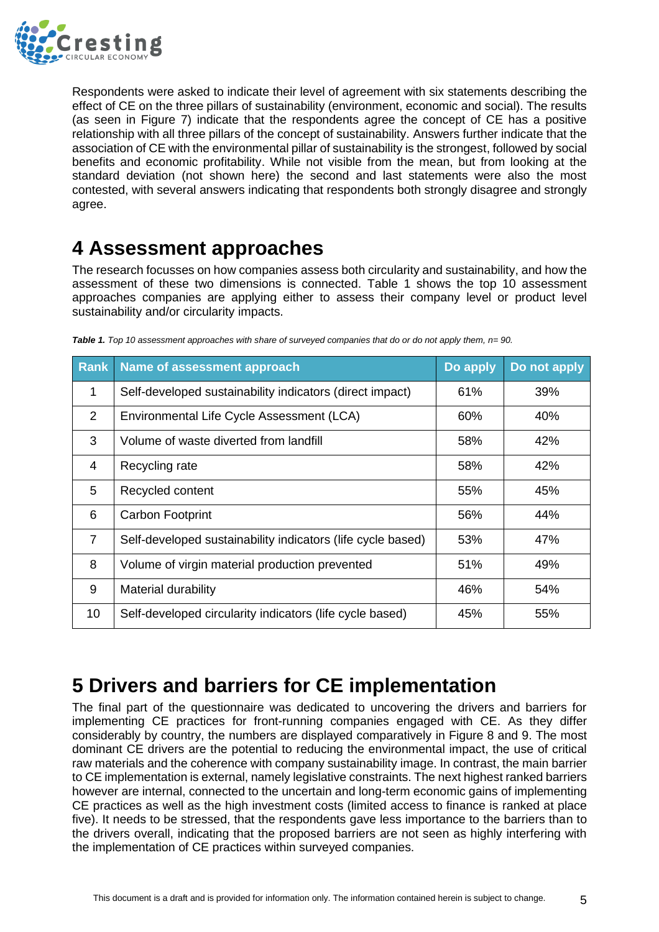

Respondents were asked to indicate their level of agreement with six statements describing the effect of CE on the three pillars of sustainability (environment, economic and social). The results (as seen in Figure 7) indicate that the respondents agree the concept of CE has a positive relationship with all three pillars of the concept of sustainability. Answers further indicate that the association of CE with the environmental pillar of sustainability is the strongest, followed by social benefits and economic profitability. While not visible from the mean, but from looking at the standard deviation (not shown here) the second and last statements were also the most contested, with several answers indicating that respondents both strongly disagree and strongly agree.

### **4 Assessment approaches**

The research focusses on how companies assess both circularity and sustainability, and how the assessment of these two dimensions is connected. Table 1 shows the top 10 assessment approaches companies are applying either to assess their company level or product level sustainability and/or circularity impacts.

| <b>Rank</b>    | <b>Name of assessment approach</b>                          | Do apply | Do not apply |
|----------------|-------------------------------------------------------------|----------|--------------|
| 1              | Self-developed sustainability indicators (direct impact)    | 61%      | 39%          |
| 2              | Environmental Life Cycle Assessment (LCA)                   | 60%      | 40%          |
| 3              | Volume of waste diverted from landfill                      | 58%      | 42%          |
| 4              | Recycling rate                                              | 58%      | 42%          |
| 5              | Recycled content                                            | 55%      | 45%          |
| 6              | <b>Carbon Footprint</b>                                     | 56%      | 44%          |
| $\overline{7}$ | Self-developed sustainability indicators (life cycle based) | 53%      | 47%          |
| 8              | Volume of virgin material production prevented              | 51%      | 49%          |
| 9              | Material durability                                         | 46%      | 54%          |
| 10             | Self-developed circularity indicators (life cycle based)    | 45%      | 55%          |

*Table 1. Top 10 assessment approaches with share of surveyed companies that do or do not apply them, n= 90.*

## **5 Drivers and barriers for CE implementation**

The final part of the questionnaire was dedicated to uncovering the drivers and barriers for implementing CE practices for front-running companies engaged with CE. As they differ considerably by country, the numbers are displayed comparatively in Figure 8 and 9. The most dominant CE drivers are the potential to reducing the environmental impact, the use of critical raw materials and the coherence with company sustainability image. In contrast, the main barrier to CE implementation is external, namely legislative constraints. The next highest ranked barriers however are internal, connected to the uncertain and long-term economic gains of implementing CE practices as well as the high investment costs (limited access to finance is ranked at place five). It needs to be stressed, that the respondents gave less importance to the barriers than to the drivers overall, indicating that the proposed barriers are not seen as highly interfering with the implementation of CE practices within surveyed companies.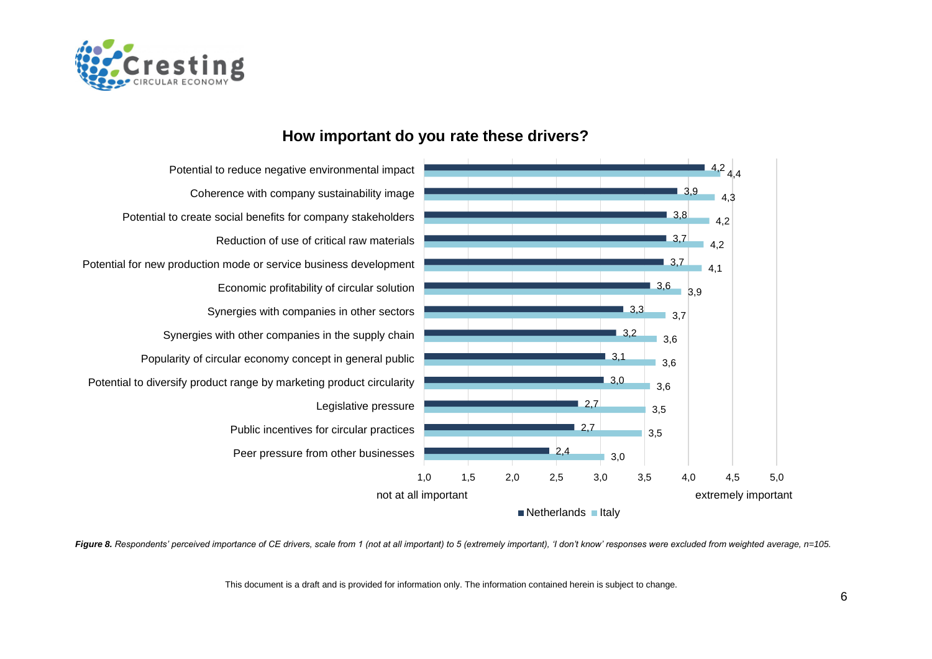



#### **How important do you rate these drivers?**

*Figure 8. Respondents' perceived importance of CE drivers, scale from 1 (not at all important) to 5 (extremely important), 'I don't know' responses were excluded from weighted average, n=105.*

This document is a draft and is provided for information only. The information contained herein is subject to change.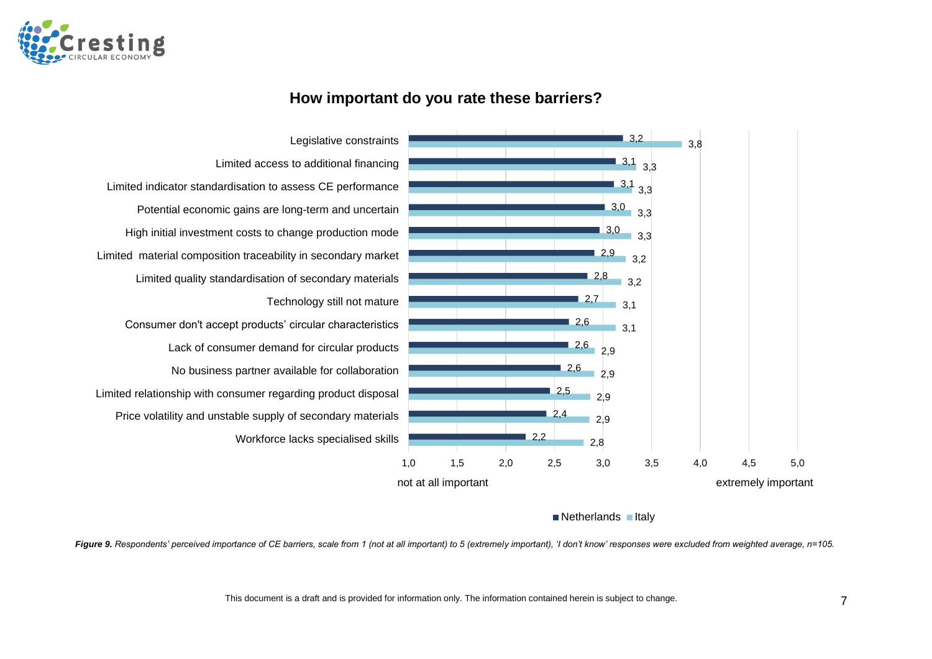

#### **How important do you rate these barriers?**



 $\blacksquare$  Netherlands  $\blacksquare$  Italy

*Figure 9. Respondents' perceived importance of CE barriers, scale from 1 (not at all important) to 5 (extremely important), 'I don't know' responses were excluded from weighted average, n=105.*

This document is a draft and is provided for information only. The information contained herein is subject to change. 7